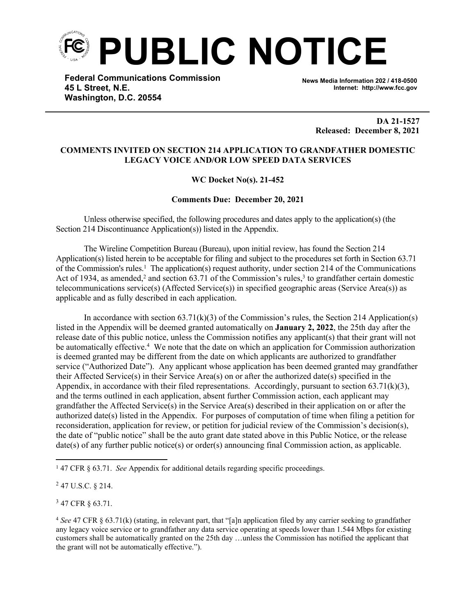

**Federal Communications Commission 45 L Street, N.E. Washington, D.C. 20554**

**News Media Information 202 / 418-0500 Internet: http://www.fcc.gov**

> **DA 21-1527 Released: December 8, 2021**

## **COMMENTS INVITED ON SECTION 214 APPLICATION TO GRANDFATHER DOMESTIC LEGACY VOICE AND/OR LOW SPEED DATA SERVICES**

## **WC Docket No(s). 21-452**

## **Comments Due: December 20, 2021**

Unless otherwise specified, the following procedures and dates apply to the application(s) (the Section 214 Discontinuance Application(s)) listed in the Appendix.

The Wireline Competition Bureau (Bureau), upon initial review, has found the Section 214 Application(s) listed herein to be acceptable for filing and subject to the procedures set forth in Section 63.71 of the Commission's rules.<sup>1</sup> The application(s) request authority, under section 214 of the Communications Act of 1934, as amended,<sup>2</sup> and section 63.71 of the Commission's rules,<sup>3</sup> to grandfather certain domestic telecommunications service(s) (Affected Service(s)) in specified geographic areas (Service Area(s)) as applicable and as fully described in each application.

In accordance with section  $(63.71(k)(3))$  of the Commission's rules, the Section 214 Application(s) listed in the Appendix will be deemed granted automatically on **January 2, 2022**, the 25th day after the release date of this public notice, unless the Commission notifies any applicant(s) that their grant will not be automatically effective.<sup>4</sup> We note that the date on which an application for Commission authorization is deemed granted may be different from the date on which applicants are authorized to grandfather service ("Authorized Date"). Any applicant whose application has been deemed granted may grandfather their Affected Service(s) in their Service Area(s) on or after the authorized date(s) specified in the Appendix, in accordance with their filed representations. Accordingly, pursuant to section  $63.71(k)(3)$ , and the terms outlined in each application, absent further Commission action, each applicant may grandfather the Affected Service(s) in the Service Area(s) described in their application on or after the authorized date(s) listed in the Appendix. For purposes of computation of time when filing a petition for reconsideration, application for review, or petition for judicial review of the Commission's decision(s), the date of "public notice" shall be the auto grant date stated above in this Public Notice, or the release date(s) of any further public notice(s) or order(s) announcing final Commission action, as applicable.

 $2$  47 U.S.C. § 214.

<sup>3</sup> 47 CFR § 63.71.

<sup>&</sup>lt;sup>1</sup> 47 CFR § 63.71. *See* Appendix for additional details regarding specific proceedings.

<sup>4</sup> *See* 47 CFR § 63.71(k) (stating, in relevant part, that "[a]n application filed by any carrier seeking to grandfather any legacy voice service or to grandfather any data service operating at speeds lower than 1.544 Mbps for existing customers shall be automatically granted on the 25th day …unless the Commission has notified the applicant that the grant will not be automatically effective.").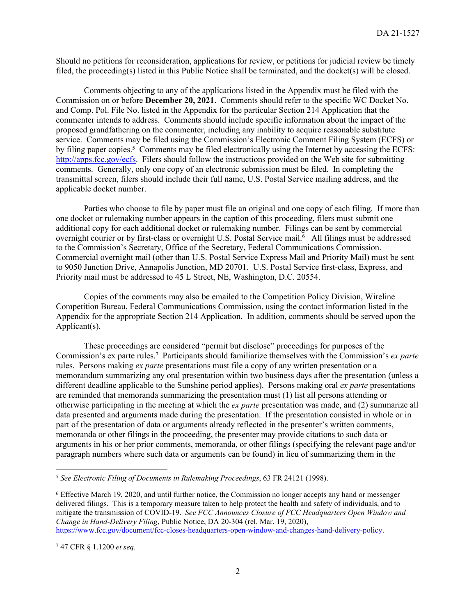Should no petitions for reconsideration, applications for review, or petitions for judicial review be timely filed, the proceeding(s) listed in this Public Notice shall be terminated, and the docket(s) will be closed.

Comments objecting to any of the applications listed in the Appendix must be filed with the Commission on or before **December 20, 2021**. Comments should refer to the specific WC Docket No. and Comp. Pol. File No. listed in the Appendix for the particular Section 214 Application that the commenter intends to address. Comments should include specific information about the impact of the proposed grandfathering on the commenter, including any inability to acquire reasonable substitute service. Comments may be filed using the Commission's Electronic Comment Filing System (ECFS) or by filing paper copies.<sup>5</sup> Comments may be filed electronically using the Internet by accessing the ECFS: [http://apps.fcc.gov/ecfs.](http://apps.fcc.gov/ecfs) Filers should follow the instructions provided on the Web site for submitting comments. Generally, only one copy of an electronic submission must be filed. In completing the transmittal screen, filers should include their full name, U.S. Postal Service mailing address, and the applicable docket number.

Parties who choose to file by paper must file an original and one copy of each filing. If more than one docket or rulemaking number appears in the caption of this proceeding, filers must submit one additional copy for each additional docket or rulemaking number. Filings can be sent by commercial overnight courier or by first-class or overnight U.S. Postal Service mail.<sup>6</sup> All filings must be addressed to the Commission's Secretary, Office of the Secretary, Federal Communications Commission. Commercial overnight mail (other than U.S. Postal Service Express Mail and Priority Mail) must be sent to 9050 Junction Drive, Annapolis Junction, MD 20701. U.S. Postal Service first-class, Express, and Priority mail must be addressed to 45 L Street, NE, Washington, D.C. 20554.

Copies of the comments may also be emailed to the Competition Policy Division, Wireline Competition Bureau, Federal Communications Commission, using the contact information listed in the Appendix for the appropriate Section 214 Application. In addition, comments should be served upon the Applicant(s).

These proceedings are considered "permit but disclose" proceedings for purposes of the Commission's ex parte rules.<sup>7</sup> Participants should familiarize themselves with the Commission's *ex parte* rules. Persons making *ex parte* presentations must file a copy of any written presentation or a memorandum summarizing any oral presentation within two business days after the presentation (unless a different deadline applicable to the Sunshine period applies). Persons making oral *ex parte* presentations are reminded that memoranda summarizing the presentation must (1) list all persons attending or otherwise participating in the meeting at which the *ex parte* presentation was made, and (2) summarize all data presented and arguments made during the presentation. If the presentation consisted in whole or in part of the presentation of data or arguments already reflected in the presenter's written comments, memoranda or other filings in the proceeding, the presenter may provide citations to such data or arguments in his or her prior comments, memoranda, or other filings (specifying the relevant page and/or paragraph numbers where such data or arguments can be found) in lieu of summarizing them in the

<sup>5</sup> *See Electronic Filing of Documents in Rulemaking Proceedings*, 63 FR 24121 (1998).

<sup>6</sup> Effective March 19, 2020, and until further notice, the Commission no longer accepts any hand or messenger delivered filings. This is a temporary measure taken to help protect the health and safety of individuals, and to mitigate the transmission of COVID-19. *See FCC Announces Closure of FCC Headquarters Open Window and Change in Hand-Delivery Filing*, Public Notice, DA 20-304 (rel. Mar. 19, 2020), [https://www.fcc.gov/document/fcc-closes-headquarters-open-window-and-changes-hand-delivery-policy.](https://www.fcc.gov/document/fcc-closes-headquarters-open-window-and-changes-hand-delivery-policy)

<sup>7</sup> 47 CFR § 1.1200 *et seq*.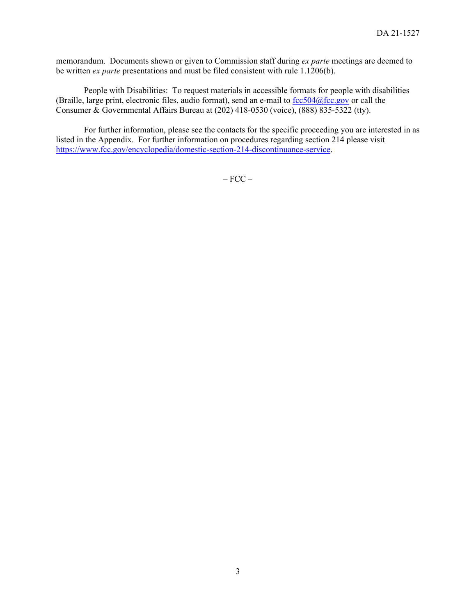memorandum. Documents shown or given to Commission staff during *ex parte* meetings are deemed to be written *ex parte* presentations and must be filed consistent with rule 1.1206(b).

People with Disabilities: To request materials in accessible formats for people with disabilities (Braille, large print, electronic files, audio format), send an e-mail to  $fcc504@$ fcc.gov or call the Consumer & Governmental Affairs Bureau at (202) 418-0530 (voice), (888) 835-5322 (tty).

For further information, please see the contacts for the specific proceeding you are interested in as listed in the Appendix. For further information on procedures regarding section 214 please visit <https://www.fcc.gov/encyclopedia/domestic-section-214-discontinuance-service>.

 $-$  FCC  $-$